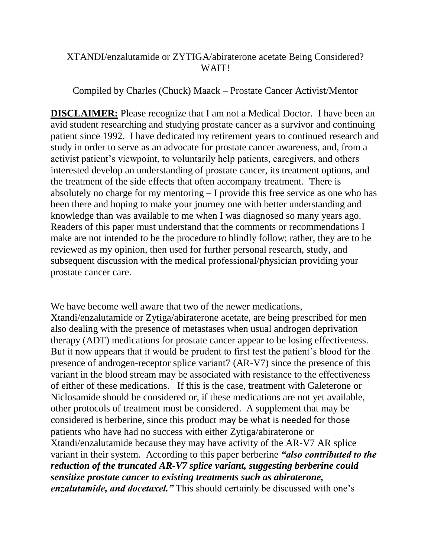## XTANDI/enzalutamide or ZYTIGA/abiraterone acetate Being Considered? WAIT!

Compiled by Charles (Chuck) Maack – Prostate Cancer Activist/Mentor

**DISCLAIMER:** Please recognize that I am not a Medical Doctor. I have been an avid student researching and studying prostate cancer as a survivor and continuing patient since 1992. I have dedicated my retirement years to continued research and study in order to serve as an advocate for prostate cancer awareness, and, from a activist patient's viewpoint, to voluntarily help patients, caregivers, and others interested develop an understanding of prostate cancer, its treatment options, and the treatment of the side effects that often accompany treatment. There is absolutely no charge for my mentoring – I provide this free service as one who has been there and hoping to make your journey one with better understanding and knowledge than was available to me when I was diagnosed so many years ago. Readers of this paper must understand that the comments or recommendations I make are not intended to be the procedure to blindly follow; rather, they are to be reviewed as my opinion, then used for further personal research, study, and subsequent discussion with the medical professional/physician providing your prostate cancer care.

We have become well aware that two of the newer medications. Xtandi/enzalutamide or Zytiga/abiraterone acetate, are being prescribed for men also dealing with the presence of metastases when usual androgen deprivation therapy (ADT) medications for prostate cancer appear to be losing effectiveness. But it now appears that it would be prudent to first test the patient's blood for the presence of androgen-receptor splice variant7 (AR-V7) since the presence of this variant in the blood stream may be associated with resistance to the effectiveness of either of these medications. If this is the case, treatment with Galeterone or Niclosamide should be considered or, if these medications are not yet available, other protocols of treatment must be considered. A supplement that may be considered is berberine, since this product may be what is needed for those patients who have had no success with either Zytiga/abiraterone or Xtandi/enzalutamide because they may have activity of the AR-V7 AR splice variant in their system. According to this paper berberine *"also contributed to the reduction of the truncated AR-V7 splice variant, suggesting berberine could sensitize prostate cancer to existing treatments such as abiraterone, enzalutamide, and docetaxel."* This should certainly be discussed with one's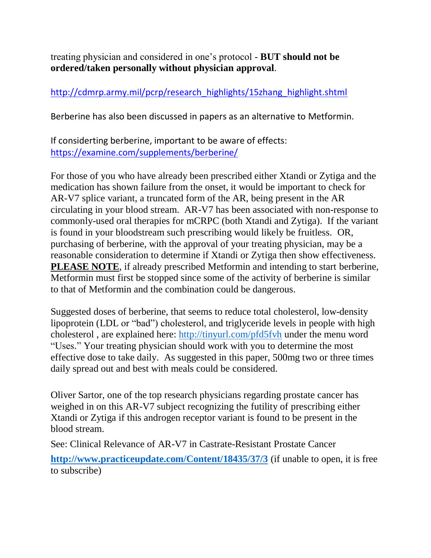treating physician and considered in one's protocol - **BUT should not be ordered/taken personally without physician approval**.

# [http://cdmrp.army.mil/pcrp/research\\_highlights/15zhang\\_highlight.shtml](http://cdmrp.army.mil/pcrp/research_highlights/15zhang_highlight.shtml)

Berberine has also been discussed in papers as an alternative to Metformin.

If considerting berberine, important to be aware of effects: <https://examine.com/supplements/berberine/>

For those of you who have already been prescribed either Xtandi or Zytiga and the medication has shown failure from the onset, it would be important to check for AR-V7 splice variant, a truncated form of the AR, being present in the AR circulating in your blood stream. AR-V7 has been associated with non-response to commonly-used oral therapies for mCRPC (both Xtandi and Zytiga). If the variant is found in your bloodstream such prescribing would likely be fruitless. OR, purchasing of berberine, with the approval of your treating physician, may be a reasonable consideration to determine if Xtandi or Zytiga then show effectiveness. **PLEASE NOTE**, if already prescribed Metformin and intending to start berberine, Metformin must first be stopped since some of the activity of berberine is similar to that of Metformin and the combination could be dangerous.

Suggested doses of berberine, that seems to reduce total [cholesterol,](http://www.webmd.com/cholesterol-management/video/bernstein-test-cholesterol-levels) low-density lipoprotein [\(LDL](http://www.webmd.com/cholesterol-management/ldl-cholesterol-the-bad-cholesterol) or "bad") cholesterol, and [triglyceride levels](http://www.webmd.com/cholesterol-management/lowering-triglyceride-levels) in people with high cholesterol , are explained here:<http://tinyurl.com/pfd5fvh> under the menu word "Uses." Your treating physician should work with you to determine the most effective dose to take daily. As suggested in this paper, 500mg two or three times daily spread out and best with meals could be considered.

Oliver Sartor, one of the top research physicians regarding prostate cancer has weighed in on this AR-V7 subject recognizing the futility of prescribing either Xtandi or Zytiga if this androgen receptor variant is found to be present in the blood stream.

See: Clinical Relevance of AR-V7 in Castrate-Resistant Prostate Cancer

**<http://www.practiceupdate.com/Content/18435/37/3>** (if unable to open, it is free to subscribe)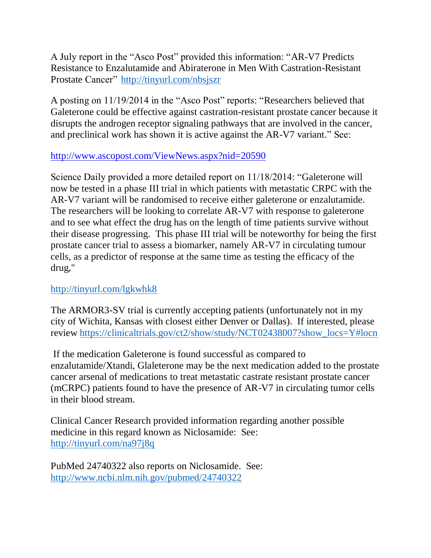A July report in the "Asco Post" provided this information: "AR-V7 Predicts Resistance to Enzalutamide and Abiraterone in Men With Castration-Resistant Prostate Cancer" <http://tinyurl.com/nbsjszr>

A posting on 11/19/2014 in the "Asco Post" reports: "Researchers believed that Galeterone could be effective against castration-resistant prostate cancer because it disrupts the androgen receptor signaling pathways that are involved in the cancer, and preclinical work has shown it is active against the AR-V7 variant." See:

## <http://www.ascopost.com/ViewNews.aspx?nid=20590>

Science Daily provided a more detailed report on 11/18/2014: "Galeterone will now be tested in a phase III trial in which patients with metastatic CRPC with the AR-V7 variant will be randomised to receive either galeterone or enzalutamide. The researchers will be looking to correlate AR-V7 with response to galeterone and to see what effect the drug has on the length of time patients survive without their disease progressing. This phase III trial will be noteworthy for being the first prostate cancer trial to assess a biomarker, namely AR-V7 in circulating tumour cells, as a predictor of response at the same time as testing the efficacy of the drug,"

# <http://tinyurl.com/lgkwhk8>

The ARMOR3-SV trial is currently accepting patients (unfortunately not in my city of Wichita, Kansas with closest either Denver or Dallas). If interested, please review [https://clinicaltrials.gov/ct2/show/study/NCT02438007?show\\_locs=Y#locn](https://clinicaltrials.gov/ct2/show/study/NCT02438007?show_locs=Y#locn)

If the medication Galeterone is found successful as compared to enzalutamide/Xtandi, Glaleterone may be the next medication added to the prostate cancer arsenal of medications to treat metastatic castrate resistant prostate cancer (mCRPC) patients found to have the presence of AR-V7 in circulating tumor cells in their blood stream.

Clinical Cancer Research provided information regarding another possible medicine in this regard known as Niclosamide: See: <http://tinyurl.com/na97j8q>

PubMed 24740322 also reports on Niclosamide. See: <http://www.ncbi.nlm.nih.gov/pubmed/24740322>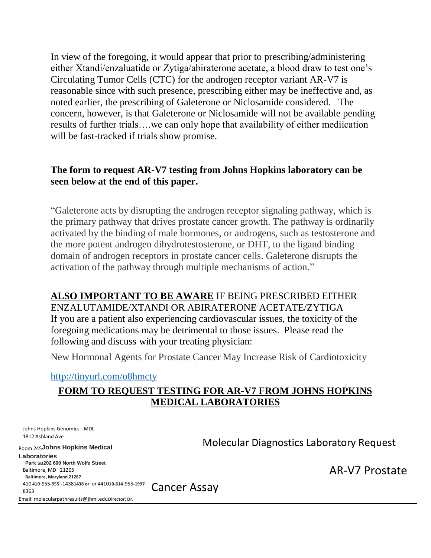In view of the foregoing, it would appear that prior to prescribing/administering either Xtandi/enzaluatide or Zytiga/abiraterone acetate, a blood draw to test one's Circulating Tumor Cells (CTC) for the androgen receptor variant AR-V7 is reasonable since with such presence, prescribing either may be ineffective and, as noted earlier, the prescribing of Galeterone or Niclosamide considered. The concern, however, is that Galeterone or Niclosamide will not be available pending results of further trials….we can only hope that availability of either mediication will be fast-tracked if trials show promise.

## **The form to request AR-V7 testing from Johns Hopkins laboratory can be seen below at the end of this paper.**

"Galeterone acts by disrupting the androgen receptor signaling pathway, which is the primary pathway that drives prostate cancer growth. The pathway is ordinarily activated by the binding of male hormones, or androgens, such as testosterone and the more potent androgen dihydrotestosterone, or DHT, to the ligand binding domain of androgen receptors in prostate cancer cells. Galeterone disrupts the activation of the pathway through multiple mechanisms of action."

**ALSO IMPORTANT TO BE AWARE** IF BEING PRESCRIBED EITHER ENZALUTAMIDE/XTANDI OR ABIRATERONE ACETATE/ZYTIGA If you are a patient also experiencing cardiovascular issues, the toxicity of the foregoing medications may be detrimental to those issues. Please read the following and discuss with your treating physician:

New Hormonal Agents for Prostate Cancer May Increase Risk of Cardiotoxicity

<http://tinyurl.com/o8hmcty>

## **FORM TO REQUEST TESTING FOR AR-V7 FROM JOHNS HOPKINS MEDICAL LABORATORIES**

Johns Hopkins Genomics - MDL 1812 Ashland Ave Room 245**Johns Hopkins Medical Laboratories Park SB202 600 North Wolfe Street** Baltimore, MD 21205 **Baltimore, Maryland 21287**  410 **410**-955**-955**-**-**1438**1438 or** or **4**410**10-614**-955**-1997**- 8363 Email: molecularpathresults@jhmi.edu**Director: Dr.**  Molecular Diagnostics Laboratory Request Cancer Assay

AR-V7 Prostate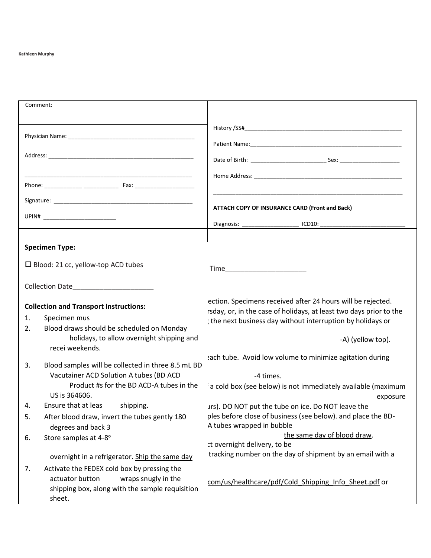#### **Kathleen Murphy**

| Comment:                                      |                                                    |                                                                                                                                   |  |  |
|-----------------------------------------------|----------------------------------------------------|-----------------------------------------------------------------------------------------------------------------------------------|--|--|
|                                               |                                                    |                                                                                                                                   |  |  |
|                                               |                                                    |                                                                                                                                   |  |  |
|                                               |                                                    |                                                                                                                                   |  |  |
|                                               |                                                    |                                                                                                                                   |  |  |
|                                               |                                                    |                                                                                                                                   |  |  |
|                                               |                                                    |                                                                                                                                   |  |  |
|                                               |                                                    |                                                                                                                                   |  |  |
|                                               |                                                    |                                                                                                                                   |  |  |
|                                               |                                                    | ATTACH COPY OF INSURANCE CARD (Front and Back)                                                                                    |  |  |
|                                               |                                                    |                                                                                                                                   |  |  |
|                                               |                                                    |                                                                                                                                   |  |  |
|                                               | <b>Specimen Type:</b>                              |                                                                                                                                   |  |  |
|                                               |                                                    |                                                                                                                                   |  |  |
| $\Box$ Blood: 21 cc, yellow-top ACD tubes     |                                                    |                                                                                                                                   |  |  |
|                                               | Collection Date_______________________             |                                                                                                                                   |  |  |
|                                               |                                                    |                                                                                                                                   |  |  |
| <b>Collection and Transport Instructions:</b> |                                                    | ection. Specimens received after 24 hours will be rejected.                                                                       |  |  |
| 1.                                            | Specimen mus                                       | rsday, or, in the case of holidays, at least two days prior to the<br>; the next business day without interruption by holidays or |  |  |
| 2.                                            | Blood draws should be scheduled on Monday          |                                                                                                                                   |  |  |
| holidays, to allow overnight shipping and     |                                                    | -A) (yellow top).                                                                                                                 |  |  |
|                                               | recei weekends.                                    |                                                                                                                                   |  |  |
| 3.                                            | Blood samples will be collected in three 8.5 mL BD | ach tube. Avoid low volume to minimize agitation during                                                                           |  |  |
|                                               | Vacutainer ACD Solution A tubes (BD ACD            | -4 times.                                                                                                                         |  |  |
|                                               | Product #s for the BD ACD-A tubes in the           | a cold box (see below) is not immediately available (maximum                                                                      |  |  |
|                                               | US is 364606.                                      | exposure                                                                                                                          |  |  |
| 4.                                            | Ensure that at leas<br>shipping.                   | urs). DO NOT put the tube on ice. Do NOT leave the                                                                                |  |  |
| 5.                                            | After blood draw, invert the tubes gently 180      | ples before close of business (see below). and place the BD-<br>A tubes wrapped in bubble                                         |  |  |
| 6.                                            | degrees and back 3<br>Store samples at 4-8°        | the same day of blood draw.                                                                                                       |  |  |
|                                               |                                                    | t overnight delivery, to be                                                                                                       |  |  |
|                                               | overnight in a refrigerator. Ship the same day     | tracking number on the day of shipment by an email with a                                                                         |  |  |
| 7.                                            | Activate the FEDEX cold box by pressing the        |                                                                                                                                   |  |  |
|                                               | wraps snugly in the<br>actuator button             | com/us/healthcare/pdf/Cold Shipping Info Sheet.pdf or                                                                             |  |  |
|                                               | shipping box, along with the sample requisition    |                                                                                                                                   |  |  |
|                                               | sheet.                                             |                                                                                                                                   |  |  |